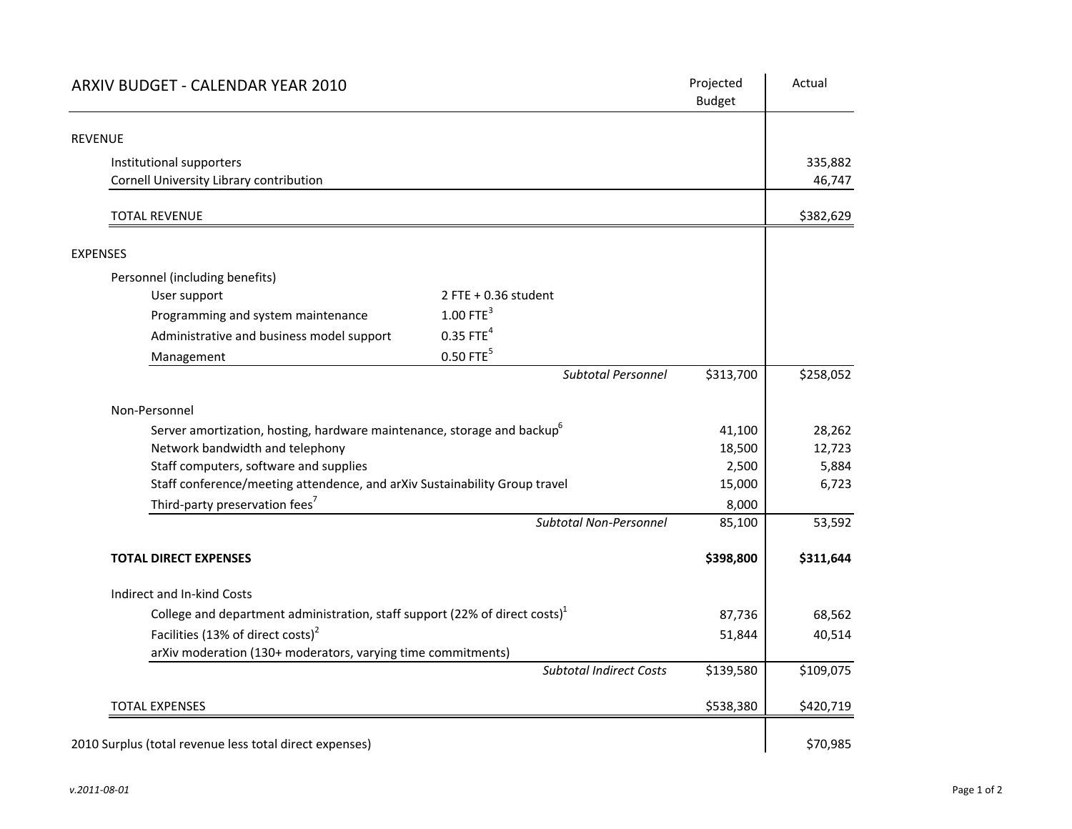| ARXIV BUDGET - CALENDAR YEAR 2010                                                   |                                | Projected<br><b>Budget</b> | Actual    |
|-------------------------------------------------------------------------------------|--------------------------------|----------------------------|-----------|
| <b>REVENUE</b>                                                                      |                                |                            |           |
| Institutional supporters                                                            |                                |                            | 335,882   |
| Cornell University Library contribution                                             |                                |                            | 46,747    |
| <b>TOTAL REVENUE</b>                                                                |                                |                            | \$382,629 |
| <b>EXPENSES</b>                                                                     |                                |                            |           |
| Personnel (including benefits)                                                      |                                |                            |           |
| User support                                                                        | $2$ FTE + 0.36 student         |                            |           |
| Programming and system maintenance                                                  | $1.00$ FTE <sup>3</sup>        |                            |           |
| Administrative and business model support                                           | $0.35$ FTE <sup>4</sup>        |                            |           |
| Management                                                                          | $0.50$ FTE $5$                 |                            |           |
|                                                                                     | <b>Subtotal Personnel</b>      | \$313,700                  | \$258,052 |
| Non-Personnel                                                                       |                                |                            |           |
| Server amortization, hosting, hardware maintenance, storage and backup <sup>6</sup> |                                | 41,100                     | 28,262    |
| Network bandwidth and telephony                                                     |                                | 18,500                     | 12,723    |
| Staff computers, software and supplies                                              |                                | 2,500                      | 5,884     |
| Staff conference/meeting attendence, and arXiv Sustainability Group travel          |                                | 15,000                     | 6,723     |
| Third-party preservation fees <sup>7</sup>                                          |                                | 8,000                      |           |
|                                                                                     | <b>Subtotal Non-Personnel</b>  | 85,100                     | 53,592    |
| <b>TOTAL DIRECT EXPENSES</b>                                                        |                                | \$398,800                  | \$311,644 |
| Indirect and In-kind Costs                                                          |                                |                            |           |
| College and department administration, staff support (22% of direct costs) $^1$     |                                | 87,736                     | 68,562    |
| Facilities (13% of direct costs) <sup>2</sup>                                       |                                | 51,844                     | 40,514    |
| arXiv moderation (130+ moderators, varying time commitments)                        |                                |                            |           |
|                                                                                     | <b>Subtotal Indirect Costs</b> | \$139,580                  | \$109,075 |
| <b>TOTAL EXPENSES</b>                                                               |                                | \$538,380                  | \$420,719 |
|                                                                                     |                                |                            |           |
| 2010 Surplus (total revenue less total direct expenses)                             |                                |                            | \$70,985  |